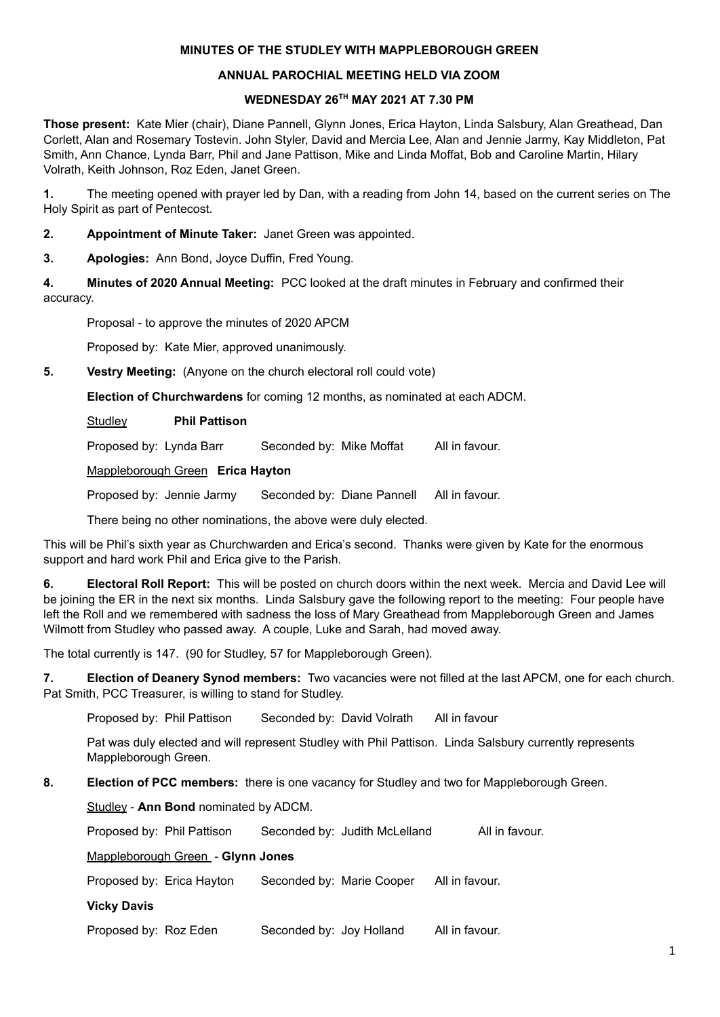### **MINUTES OF THE STUDLEY WITH MAPPLEBOROUGH GREEN**

#### **ANNUAL PAROCHIAL MEETING HELD VIA ZOOM**

#### **WEDNESDAY 26 TH MAY 2021 AT 7.30 PM**

**Those present:** Kate Mier (chair), Diane Pannell, Glynn Jones, Erica Hayton, Linda Salsbury, Alan Greathead, Dan Corlett, Alan and Rosemary Tostevin. John Styler, David and Mercia Lee, Alan and Jennie Jarmy, Kay Middleton, Pat Smith, Ann Chance, Lynda Barr, Phil and Jane Pattison, Mike and Linda Moffat, Bob and Caroline Martin, Hilary Volrath, Keith Johnson, Roz Eden, Janet Green.

**1.** The meeting opened with prayer led by Dan, with a reading from John 14, based on the current series on The Holy Spirit as part of Pentecost.

**2. Appointment of Minute Taker:** Janet Green was appointed.

**3. Apologies:** Ann Bond, Joyce Duffin, Fred Young.

**4. Minutes of 2020 Annual Meeting:** PCC looked at the draft minutes in February and confirmed their accuracy.

Proposal - to approve the minutes of 2020 APCM

Proposed by: Kate Mier, approved unanimously.

**5. Vestry Meeting:** (Anyone on the church electoral roll could vote)

**Election of Churchwardens** for coming 12 months, as nominated at each ADCM.

Studley **Phil Pattison**

Proposed by: Lynda Barr Seconded by: Mike Moffat All in favour.

Mappleborough Green **Erica Hayton**

Proposed by: Jennie Jarmy Seconded by: Diane Pannell All in favour.

There being no other nominations, the above were duly elected.

This will be Phil's sixth year as Churchwarden and Erica's second. Thanks were given by Kate for the enormous support and hard work Phil and Erica give to the Parish.

**6. Electoral Roll Report:** This will be posted on church doors within the next week. Mercia and David Lee will be joining the ER in the next six months. Linda Salsbury gave the following report to the meeting: Four people have left the Roll and we remembered with sadness the loss of Mary Greathead from Mappleborough Green and James Wilmott from Studley who passed away. A couple, Luke and Sarah, had moved away.

The total currently is 147. (90 for Studley, 57 for Mappleborough Green).

**7. Election of Deanery Synod members:** Two vacancies were not filled at the last APCM, one for each church. Pat Smith, PCC Treasurer, is willing to stand for Studley.

Proposed by: Phil Pattison Seconded by: David Volrath All in favour

Pat was duly elected and will represent Studley with Phil Pattison. Linda Salsbury currently represents Mappleborough Green.

**8. Election of PCC members:** there is one vacancy for Studley and two for Mappleborough Green.

Studley - **Ann Bond** nominated by ADCM.

Proposed by: Phil Pattison Seconded by: Judith McLelland All in favour.

Mappleborough Green - **Glynn Jones**

Proposed by: Erica Hayton Seconded by: Marie Cooper All in favour.

**Vicky Davis**

Proposed by: Roz Eden Seconded by: Joy Holland All in favour.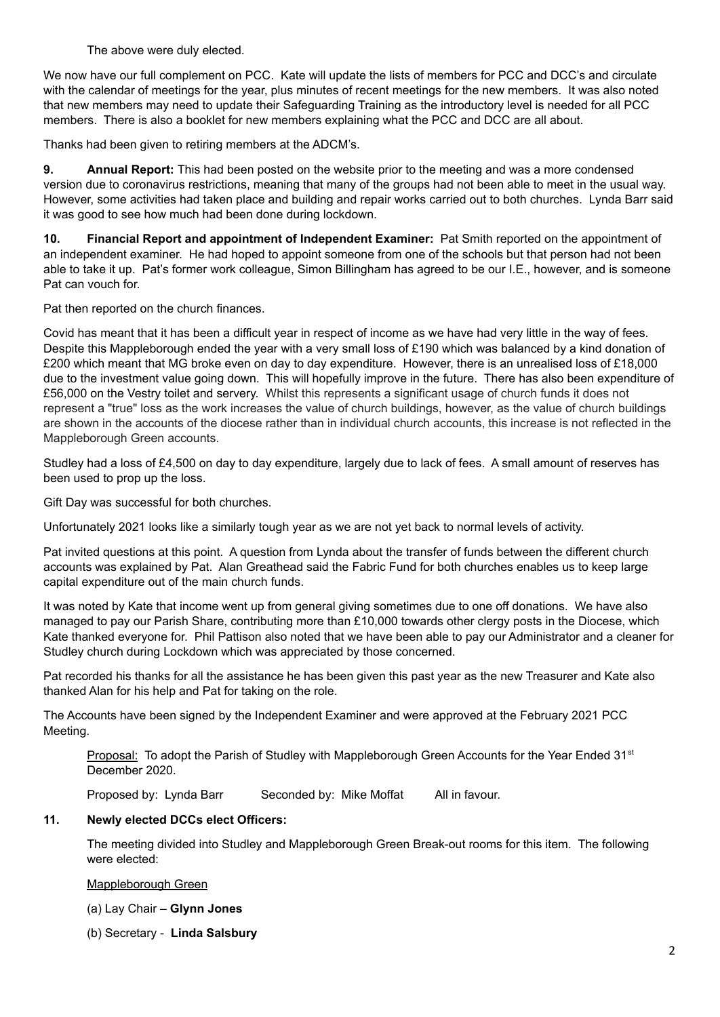The above were duly elected.

We now have our full complement on PCC. Kate will update the lists of members for PCC and DCC's and circulate with the calendar of meetings for the year, plus minutes of recent meetings for the new members. It was also noted that new members may need to update their Safeguarding Training as the introductory level is needed for all PCC members. There is also a booklet for new members explaining what the PCC and DCC are all about.

Thanks had been given to retiring members at the ADCM's.

**9. Annual Report:** This had been posted on the website prior to the meeting and was a more condensed version due to coronavirus restrictions, meaning that many of the groups had not been able to meet in the usual way. However, some activities had taken place and building and repair works carried out to both churches. Lynda Barr said it was good to see how much had been done during lockdown.

**10. Financial Report and appointment of Independent Examiner:** Pat Smith reported on the appointment of an independent examiner. He had hoped to appoint someone from one of the schools but that person had not been able to take it up. Pat's former work colleague, Simon Billingham has agreed to be our I.E., however, and is someone Pat can vouch for.

Pat then reported on the church finances.

Covid has meant that it has been a difficult year in respect of income as we have had very little in the way of fees. Despite this Mappleborough ended the year with a very small loss of £190 which was balanced by a kind donation of £200 which meant that MG broke even on day to day expenditure. However, there is an unrealised loss of £18,000 due to the investment value going down. This will hopefully improve in the future. There has also been expenditure of £56,000 on the Vestry toilet and servery. Whilst this represents a significant usage of church funds it does not represent a "true" loss as the work increases the value of church buildings, however, as the value of church buildings are shown in the accounts of the diocese rather than in individual church accounts, this increase is not reflected in the Mappleborough Green accounts.

Studley had a loss of £4,500 on day to day expenditure, largely due to lack of fees. A small amount of reserves has been used to prop up the loss.

Gift Day was successful for both churches.

Unfortunately 2021 looks like a similarly tough year as we are not yet back to normal levels of activity.

Pat invited questions at this point. A question from Lynda about the transfer of funds between the different church accounts was explained by Pat. Alan Greathead said the Fabric Fund for both churches enables us to keep large capital expenditure out of the main church funds.

It was noted by Kate that income went up from general giving sometimes due to one off donations. We have also managed to pay our Parish Share, contributing more than £10,000 towards other clergy posts in the Diocese, which Kate thanked everyone for. Phil Pattison also noted that we have been able to pay our Administrator and a cleaner for Studley church during Lockdown which was appreciated by those concerned.

Pat recorded his thanks for all the assistance he has been given this past year as the new Treasurer and Kate also thanked Alan for his help and Pat for taking on the role.

The Accounts have been signed by the Independent Examiner and were approved at the February 2021 PCC Meeting.

Proposal: To adopt the Parish of Studley with Mappleborough Green Accounts for the Year Ended 31<sup>st</sup> December 2020.

Proposed by: Lynda Barr Seconded by: Mike Moffat All in favour.

### **11. Newly elected DCCs elect Officers:**

The meeting divided into Studley and Mappleborough Green Break-out rooms for this item. The following were elected:

### Mappleborough Green

(a) Lay Chair – **Glynn Jones**

(b) Secretary - **Linda Salsbury**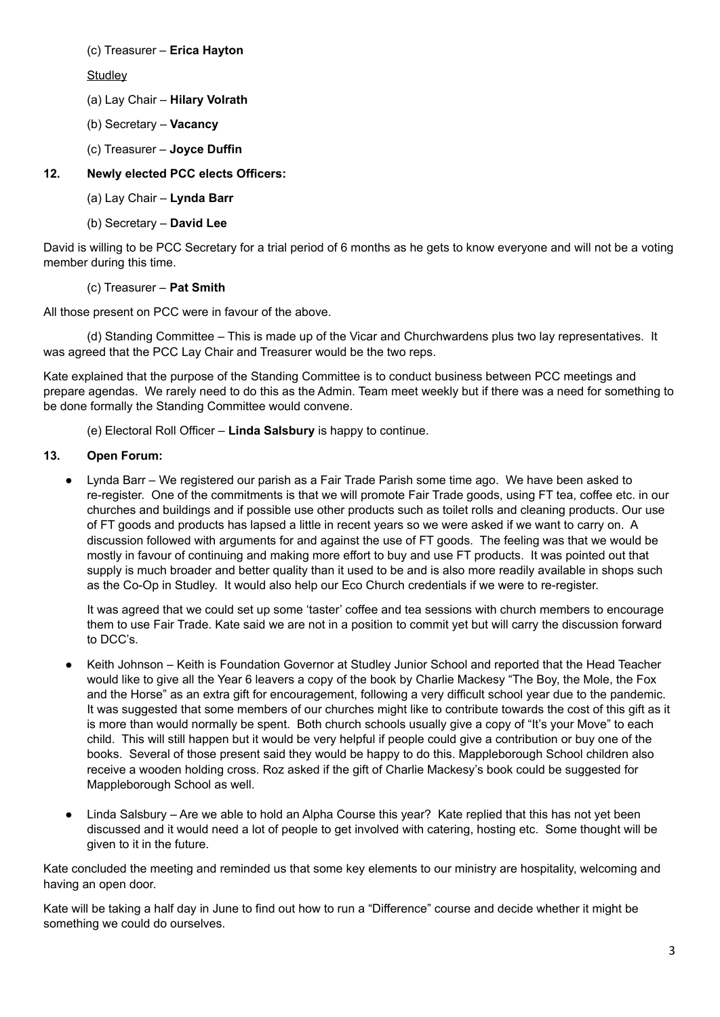(c) Treasurer – **Erica Hayton**

**Studlev** 

- (a) Lay Chair **Hilary Volrath**
- (b) Secretary **Vacancy**
- (c) Treasurer **Joyce Duffin**

# **12. Newly elected PCC elects Officers:**

- (a) Lay Chair **Lynda Barr**
- (b) Secretary **David Lee**

David is willing to be PCC Secretary for a trial period of 6 months as he gets to know everyone and will not be a voting member during this time.

# (c) Treasurer – **Pat Smith**

All those present on PCC were in favour of the above.

(d) Standing Committee – This is made up of the Vicar and Churchwardens plus two lay representatives. It was agreed that the PCC Lay Chair and Treasurer would be the two reps.

Kate explained that the purpose of the Standing Committee is to conduct business between PCC meetings and prepare agendas. We rarely need to do this as the Admin. Team meet weekly but if there was a need for something to be done formally the Standing Committee would convene.

(e) Electoral Roll Officer – **Linda Salsbury** is happy to continue.

# **13. Open Forum:**

Lynda Barr – We registered our parish as a Fair Trade Parish some time ago. We have been asked to re-register. One of the commitments is that we will promote Fair Trade goods, using FT tea, coffee etc. in our churches and buildings and if possible use other products such as toilet rolls and cleaning products. Our use of FT goods and products has lapsed a little in recent years so we were asked if we want to carry on. A discussion followed with arguments for and against the use of FT goods. The feeling was that we would be mostly in favour of continuing and making more effort to buy and use FT products. It was pointed out that supply is much broader and better quality than it used to be and is also more readily available in shops such as the Co-Op in Studley. It would also help our Eco Church credentials if we were to re-register.

It was agreed that we could set up some 'taster' coffee and tea sessions with church members to encourage them to use Fair Trade. Kate said we are not in a position to commit yet but will carry the discussion forward to DCC's.

- Keith Johnson Keith is Foundation Governor at Studley Junior School and reported that the Head Teacher would like to give all the Year 6 leavers a copy of the book by Charlie Mackesy "The Boy, the Mole, the Fox and the Horse" as an extra gift for encouragement, following a very difficult school year due to the pandemic. It was suggested that some members of our churches might like to contribute towards the cost of this gift as it is more than would normally be spent. Both church schools usually give a copy of "It's your Move" to each child. This will still happen but it would be very helpful if people could give a contribution or buy one of the books. Several of those present said they would be happy to do this. Mappleborough School children also receive a wooden holding cross. Roz asked if the gift of Charlie Mackesy's book could be suggested for Mappleborough School as well.
- Linda Salsbury Are we able to hold an Alpha Course this year? Kate replied that this has not yet been discussed and it would need a lot of people to get involved with catering, hosting etc. Some thought will be given to it in the future.

Kate concluded the meeting and reminded us that some key elements to our ministry are hospitality, welcoming and having an open door.

Kate will be taking a half day in June to find out how to run a "Difference" course and decide whether it might be something we could do ourselves.